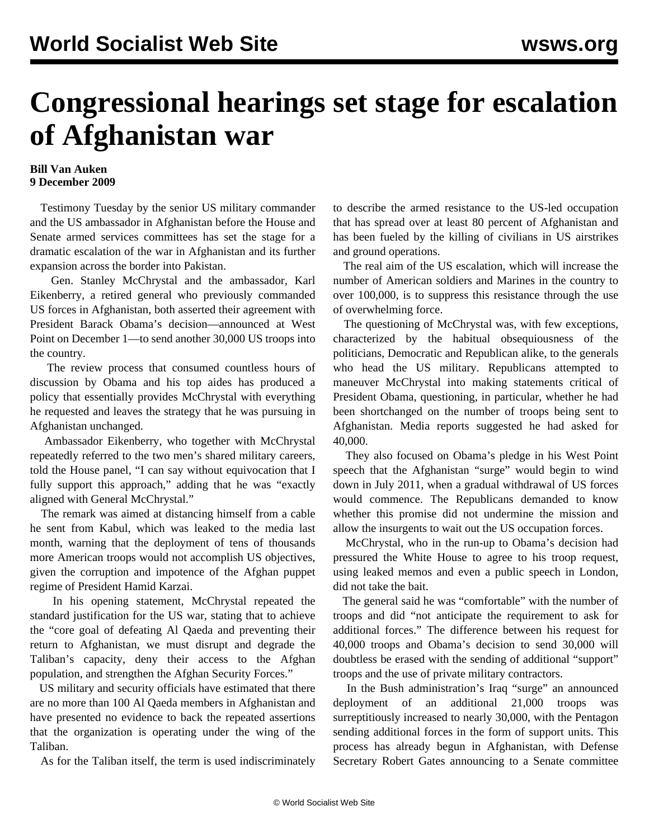## **Congressional hearings set stage for escalation of Afghanistan war**

## **Bill Van Auken 9 December 2009**

 Testimony Tuesday by the senior US military commander and the US ambassador in Afghanistan before the House and Senate armed services committees has set the stage for a dramatic escalation of the war in Afghanistan and its further expansion across the border into Pakistan.

 Gen. Stanley McChrystal and the ambassador, Karl Eikenberry, a retired general who previously commanded US forces in Afghanistan, both asserted their agreement with President Barack Obama's decision—announced at West Point on December 1—to send another 30,000 US troops into the country.

 The review process that consumed countless hours of discussion by Obama and his top aides has produced a policy that essentially provides McChrystal with everything he requested and leaves the strategy that he was pursuing in Afghanistan unchanged.

 Ambassador Eikenberry, who together with McChrystal repeatedly referred to the two men's shared military careers, told the House panel, "I can say without equivocation that I fully support this approach," adding that he was "exactly aligned with General McChrystal."

 The remark was aimed at distancing himself from a cable he sent from Kabul, which was leaked to the media last month, warning that the deployment of tens of thousands more American troops would not accomplish US objectives, given the corruption and impotence of the Afghan puppet regime of President Hamid Karzai.

 In his opening statement, McChrystal repeated the standard justification for the US war, stating that to achieve the "core goal of defeating Al Qaeda and preventing their return to Afghanistan, we must disrupt and degrade the Taliban's capacity, deny their access to the Afghan population, and strengthen the Afghan Security Forces."

 US military and security officials have estimated that there are no more than 100 Al Qaeda members in Afghanistan and have presented no evidence to back the repeated assertions that the organization is operating under the wing of the Taliban.

As for the Taliban itself, the term is used indiscriminately

to describe the armed resistance to the US-led occupation that has spread over at least 80 percent of Afghanistan and has been fueled by the killing of civilians in US airstrikes and ground operations.

 The real aim of the US escalation, which will increase the number of American soldiers and Marines in the country to over 100,000, is to suppress this resistance through the use of overwhelming force.

 The questioning of McChrystal was, with few exceptions, characterized by the habitual obsequiousness of the politicians, Democratic and Republican alike, to the generals who head the US military. Republicans attempted to maneuver McChrystal into making statements critical of President Obama, questioning, in particular, whether he had been shortchanged on the number of troops being sent to Afghanistan. Media reports suggested he had asked for 40,000.

 They also focused on Obama's pledge in his West Point speech that the Afghanistan "surge" would begin to wind down in July 2011, when a gradual withdrawal of US forces would commence. The Republicans demanded to know whether this promise did not undermine the mission and allow the insurgents to wait out the US occupation forces.

 McChrystal, who in the run-up to Obama's decision had pressured the White House to agree to his troop request, using leaked memos and even a public speech in London, did not take the bait.

 The general said he was "comfortable" with the number of troops and did "not anticipate the requirement to ask for additional forces." The difference between his request for 40,000 troops and Obama's decision to send 30,000 will doubtless be erased with the sending of additional "support" troops and the use of private military contractors.

 In the Bush administration's Iraq "surge" an announced deployment of an additional 21,000 troops was surreptitiously increased to nearly 30,000, with the Pentagon sending additional forces in the form of support units. This process has already begun in Afghanistan, with Defense Secretary Robert Gates announcing to a Senate committee